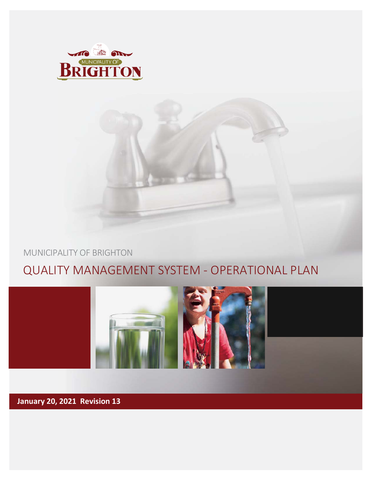



### MUNICIPALITY OF BRIGHTON

# QUALITY MANAGEMENT SYSTEM - OPERATIONAL PLAN



**January 20, 2021 Revision 13**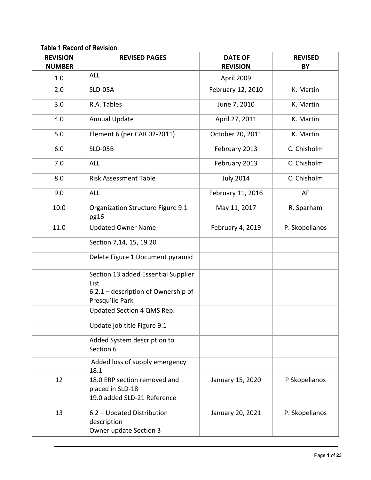**Table 1 Record of Revision**

| <b>REVISION</b><br><b>NUMBER</b> | <b>REVISED PAGES</b>                                                | <b>DATE OF</b><br><b>REVISION</b> | <b>REVISED</b><br>BY |
|----------------------------------|---------------------------------------------------------------------|-----------------------------------|----------------------|
| 1.0                              | <b>ALL</b>                                                          | April 2009                        |                      |
| 2.0                              | SLD-05A                                                             | February 12, 2010                 | K. Martin            |
| 3.0                              | R.A. Tables                                                         | June 7, 2010                      | K. Martin            |
| 4.0                              | <b>Annual Update</b>                                                | April 27, 2011                    | K. Martin            |
| 5.0                              | Element 6 (per CAR 02-2011)                                         | October 20, 2011                  | K. Martin            |
| 6.0                              | <b>SLD-05B</b>                                                      | February 2013                     | C. Chisholm          |
| 7.0                              | <b>ALL</b>                                                          | February 2013                     | C. Chisholm          |
| 8.0                              | <b>Risk Assessment Table</b>                                        | <b>July 2014</b>                  | C. Chisholm          |
| 9.0                              | <b>ALL</b>                                                          | February 11, 2016                 | AF                   |
| 10.0                             | Organization Structure Figure 9.1<br>pg16                           | May 11, 2017                      | R. Sparham           |
| 11.0                             | <b>Updated Owner Name</b>                                           | February 4, 2019                  | P. Skopelianos       |
|                                  | Section 7,14, 15, 19 20                                             |                                   |                      |
|                                  | Delete Figure 1 Document pyramid                                    |                                   |                      |
|                                  | Section 13 added Essential Supplier<br>List                         |                                   |                      |
|                                  | 6.2.1 - description of Ownership of<br>Presqu'ile Park              |                                   |                      |
|                                  | Updated Section 4 QMS Rep.                                          |                                   |                      |
|                                  | Update job title Figure 9.1                                         |                                   |                      |
|                                  | Added System description to<br>Section 6                            |                                   |                      |
|                                  | Added loss of supply emergency<br>18.1                              |                                   |                      |
| 12                               | 18.0 ERP section removed and<br>placed in SLD-18                    | January 15, 2020                  | P Skopelianos        |
|                                  | 19.0 added SLD-21 Reference                                         |                                   |                      |
| 13                               | 6.2 - Updated Distribution<br>description<br>Owner update Section 3 | January 20, 2021                  | P. Skopelianos       |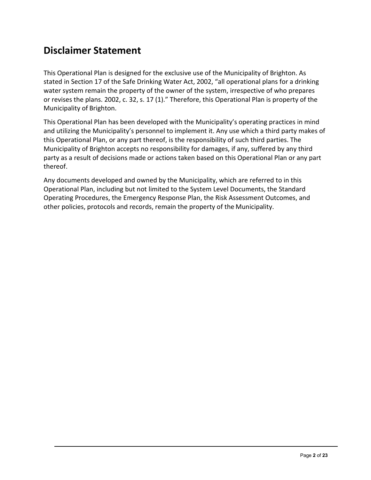## **Disclaimer Statement**

This Operational Plan is designed for the exclusive use of the Municipality of Brighton. As stated in Section 17 of the Safe Drinking Water Act, 2002, "all operational plans for a drinking water system remain the property of the owner of the system, irrespective of who prepares or revises the plans. 2002, c. 32, s. 17 (1)." Therefore, this Operational Plan is property of the Municipality of Brighton.

This Operational Plan has been developed with the Municipality's operating practices in mind and utilizing the Municipality's personnel to implement it. Any use which a third party makes of this Operational Plan, or any part thereof, is the responsibility of such third parties. The Municipality of Brighton accepts no responsibility for damages, if any, suffered by any third party as a result of decisions made or actions taken based on this Operational Plan or any part thereof.

Any documents developed and owned by the Municipality, which are referred to in this Operational Plan, including but not limited to the System Level Documents, the Standard Operating Procedures, the Emergency Response Plan, the Risk Assessment Outcomes, and other policies, protocols and records, remain the property of the Municipality.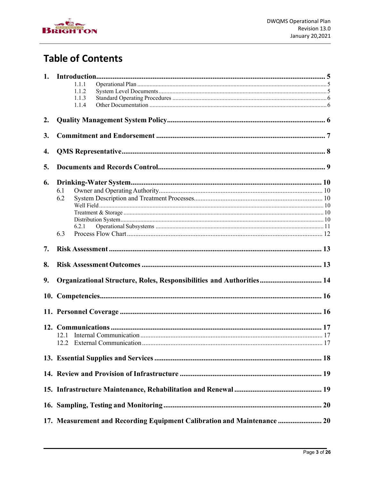

## **Table of Contents**

|    | 1.1.1 |                                                                         |  |  |
|----|-------|-------------------------------------------------------------------------|--|--|
|    | 1.1.2 |                                                                         |  |  |
|    | 1.1.3 |                                                                         |  |  |
|    | 1.1.4 |                                                                         |  |  |
| 2. |       |                                                                         |  |  |
| 3. |       |                                                                         |  |  |
| 4. |       |                                                                         |  |  |
| 5. |       |                                                                         |  |  |
|    |       |                                                                         |  |  |
| 6. |       |                                                                         |  |  |
|    | 6.1   |                                                                         |  |  |
|    | 6.2   |                                                                         |  |  |
|    |       |                                                                         |  |  |
|    |       |                                                                         |  |  |
|    | 6.2.1 |                                                                         |  |  |
|    | 6.3   |                                                                         |  |  |
|    |       |                                                                         |  |  |
| 7. |       |                                                                         |  |  |
| 8. |       |                                                                         |  |  |
| 9. |       | Organizational Structure, Roles, Responsibilities and Authorities 14    |  |  |
|    |       |                                                                         |  |  |
|    |       |                                                                         |  |  |
|    |       |                                                                         |  |  |
|    |       |                                                                         |  |  |
|    | 12.1  |                                                                         |  |  |
|    |       |                                                                         |  |  |
|    |       |                                                                         |  |  |
|    |       |                                                                         |  |  |
|    |       |                                                                         |  |  |
|    |       |                                                                         |  |  |
|    |       |                                                                         |  |  |
|    |       | 17. Measurement and Recording Equipment Calibration and Maintenance  20 |  |  |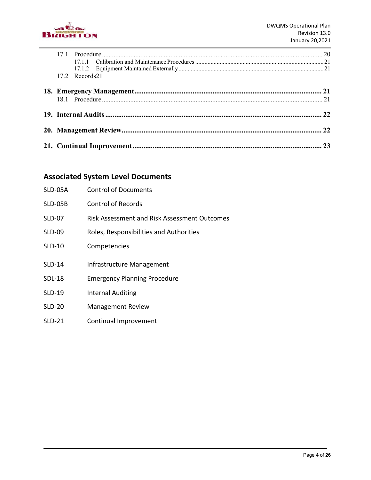

|  | 17.2 Records21 |  |
|--|----------------|--|
|  |                |  |
|  |                |  |
|  |                |  |
|  |                |  |
|  |                |  |
|  |                |  |
|  |                |  |
|  |                |  |

### **Associated System Level Documents**

| SLD-05A        | <b>Control of Documents</b>                         |
|----------------|-----------------------------------------------------|
| <b>SLD-05B</b> | <b>Control of Records</b>                           |
| <b>SLD-07</b>  | <b>Risk Assessment and Risk Assessment Outcomes</b> |
| <b>SLD-09</b>  | Roles, Responsibilities and Authorities             |
| $SLD-10$       | Competencies                                        |
| <b>SLD-14</b>  | Infrastructure Management                           |
| <b>SDL-18</b>  | <b>Emergency Planning Procedure</b>                 |
| <b>SLD-19</b>  | <b>Internal Auditing</b>                            |
| <b>SLD-20</b>  | <b>Management Review</b>                            |
| $SLD-21$       | Continual Improvement                               |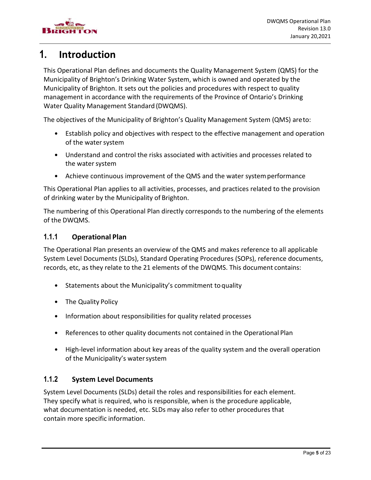

### <span id="page-5-0"></span>**1. Introduction**

This Operational Plan defines and documents the Quality Management System (QMS) for the Municipality of Brighton's Drinking Water System, which is owned and operated by the Municipality of Brighton. It sets out the policies and procedures with respect to quality management in accordance with the requirements of the Province of Ontario's Drinking Water Quality Management Standard (DWQMS).

The objectives of the Municipality of Brighton's Quality Management System (QMS) areto:

- Establish policy and objectives with respect to the effective management and operation of the water system
- Understand and control the risks associated with activities and processes related to the water system
- Achieve continuous improvement of the QMS and the water systemperformance

This Operational Plan applies to all activities, processes, and practices related to the provision of drinking water by the Municipality of Brighton.

The numbering of this Operational Plan directly corresponds to the numbering of the elements of the DWQMS.

#### <span id="page-5-1"></span>**1.1.1 Operational Plan**

The Operational Plan presents an overview of the QMS and makes reference to all applicable System Level Documents (SLDs), Standard Operating Procedures (SOPs), reference documents, records, etc, as they relate to the 21 elements of the DWQMS. This document contains:

- Statements about the Municipality's commitment to quality
- The Quality Policy
- Information about responsibilities for quality related processes
- References to other quality documents not contained in the Operational Plan
- High-level information about key areas of the quality system and the overall operation of the Municipality's watersystem

#### <span id="page-5-2"></span>**1.1.2 System Level Documents**

System Level Documents (SLDs) detail the roles and responsibilities for each element. They specify what is required, who is responsible, when is the procedure applicable, what documentation is needed, etc. SLDs may also refer to other procedures that contain more specific information.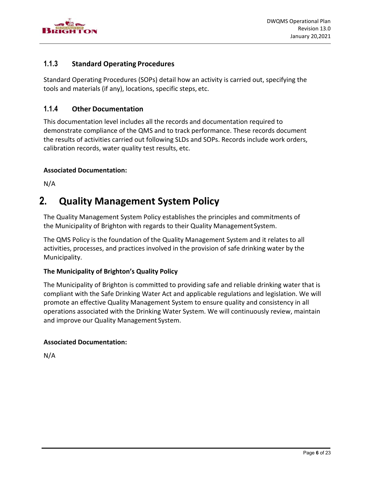

#### <span id="page-6-0"></span>**1.1.3 Standard Operating Procedures**

Standard Operating Procedures (SOPs) detail how an activity is carried out, specifying the tools and materials (if any), locations, specific steps, etc.

#### <span id="page-6-1"></span>**1.1.4 Other Documentation**

This documentation level includes all the records and documentation required to demonstrate compliance of the QMS and to track performance. These records document the results of activities carried out following SLDs and SOPs. Records include work orders, calibration records, water quality test results, etc.

#### **Associated Documentation:**

N/A

### <span id="page-6-2"></span>**2. Quality Management System Policy**

The Quality Management System Policy establishes the principles and commitments of the Municipality of Brighton with regards to their Quality ManagementSystem.

The QMS Policy is the foundation of the Quality Management System and it relates to all activities, processes, and practices involved in the provision of safe drinking water by the Municipality.

#### **The Municipality of Brighton's Quality Policy**

The Municipality of Brighton is committed to providing safe and reliable drinking water that is compliant with the Safe Drinking Water Act and applicable regulations and legislation. We will promote an effective Quality Management System to ensure quality and consistency in all operations associated with the Drinking Water System. We will continuously review, maintain and improve our Quality Management System.

#### **Associated Documentation:**

N/A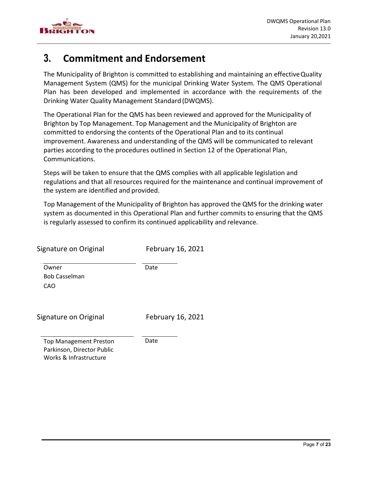

## <span id="page-7-0"></span>**3. Commitment and Endorsement**

The Municipality of Brighton is committed to establishing and maintaining an effectiveQuality Management System (QMS) for the municipal Drinking Water System. The QMS Operational Plan has been developed and implemented in accordance with the requirements of the Drinking Water Quality Management Standard (DWQMS).

The Operational Plan for the QMS has been reviewed and approved for the Municipality of Brighton by Top Management. Top Management and the Municipality of Brighton are committed to endorsing the contents of the Operational Plan and to its continual improvement. Awareness and understanding of the QMS will be communicated to relevant parties according to the procedures outlined in Section 12 of the Operational Plan, Communications.

Steps will be taken to ensure that the QMS complies with all applicable legislation and regulations and that all resources required for the maintenance and continual improvement of the system are identified and provided.

Top Management of the Municipality of Brighton has approved the QMS for the drinking water system as documented in this Operational Plan and further commits to ensuring that the QMS is regularly assessed to confirm its continued applicability and relevance.

| Signature on Original                                                                 | February 16, 2021 |
|---------------------------------------------------------------------------------------|-------------------|
| Owner<br><b>Bob Casselman</b><br>CAO                                                  | Date              |
| Signature on Original                                                                 | February 16, 2021 |
| <b>Top Management Preston</b><br>Parkinson, Director Public<br>Works & Infrastructure | Date              |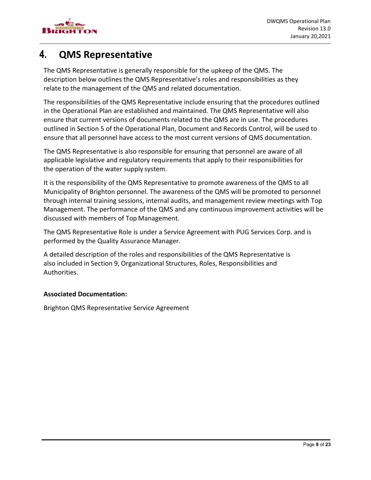

## <span id="page-8-0"></span>**4. QMS Representative**

The QMS Representative is generally responsible for the upkeep of the QMS. The description below outlines the QMS Representative's roles and responsibilities as they relate to the management of the QMS and related documentation.

The responsibilities of the QMS Representative include ensuring that the procedures outlined in the Operational Plan are established and maintained. The QMS Representative will also ensure that current versions of documents related to the QMS are in use. The procedures outlined in Section 5 of the Operational Plan, Document and Records Control, will be used to ensure that all personnel have access to the most current versions of QMS documentation.

The QMS Representative is also responsible for ensuring that personnel are aware of all applicable legislative and regulatory requirements that apply to their responsibilities for the operation of the water supply system.

It is the responsibility of the QMS Representative to promote awareness of the QMS to all Municipality of Brighton personnel. The awareness of the QMS will be promoted to personnel through internal training sessions, internal audits, and management review meetings with Top Management. The performance of the QMS and any continuous improvement activities will be discussed with members of Top Management.

The QMS Representative Role is under a Service Agreement with PUG Services Corp. and is performed by the Quality Assurance Manager.

A detailed description of the roles and responsibilities of the QMS Representative is also included in Section 9, Organizational Structures, Roles, Responsibilities and Authorities.

#### **Associated Documentation:**

Brighton QMS Representative Service Agreement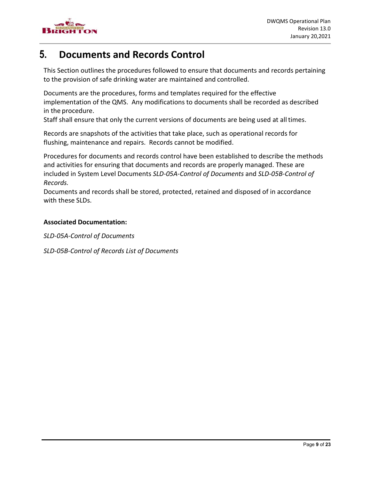

### <span id="page-9-0"></span>**5. Documents and Records Control**

This Section outlines the procedures followed to ensure that documents and records pertaining to the provision of safe drinking water are maintained and controlled.

Documents are the procedures, forms and templates required for the effective implementation of the QMS. Any modifications to documents shall be recorded as described in the procedure.

Staff shall ensure that only the current versions of documents are being used at all times.

Records are snapshots of the activities that take place, such as operational records for flushing, maintenance and repairs. Records cannot be modified.

Procedures for documents and records control have been established to describe the methods and activities for ensuring that documents and records are properly managed. These are included in System Level Documents *SLD-05A-Control of Documents* and *SLD-05B-Control of Records.*

Documents and records shall be stored, protected, retained and disposed of in accordance with these SLDs.

#### **Associated Documentation:**

*SLD-05A-Control of Documents* 

*SLD-05B-Control of Records List of Documents*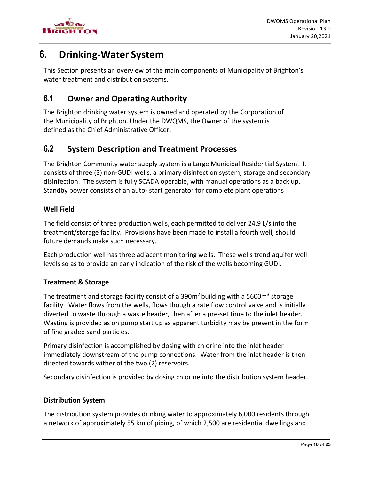

## <span id="page-10-0"></span>**6. Drinking-Water System**

This Section presents an overview of the main components of Municipality of Brighton's water treatment and distribution systems.

### <span id="page-10-1"></span>**6.1 Owner and OperatingAuthority**

The Brighton drinking water system is owned and operated by the Corporation of the Municipality of Brighton. Under the DWQMS, the Owner of the system is defined as the Chief Administrative Officer.

### <span id="page-10-2"></span>**6.2 System Description and Treatment Processes**

The Brighton Community water supply system is a Large Municipal Residential System. It consists of three (3) non-GUDI wells, a primary disinfection system, storage and secondary disinfection. The system is fully SCADA operable, with manual operations as a back up. Standby power consists of an auto- start generator for complete plant operations

#### <span id="page-10-3"></span>**Well Field**

The field consist of three production wells, each permitted to deliver 24.9 L/s into the treatment/storage facility. Provisions have been made to install a fourth well, should future demands make such necessary.

Each production well has three adjacent monitoring wells. These wells trend aquifer well levels so as to provide an early indication of the risk of the wells becoming GUDI.

#### <span id="page-10-4"></span>**Treatment & Storage**

The treatment and storage facility consist of a  $390m<sup>2</sup>$  building with a  $5600m<sup>3</sup>$  storage facility. Water flows from the wells, flows though a rate flow control valve and is initially diverted to waste through a waste header, then after a pre-set time to the inlet header. Wasting is provided as on pump start up as apparent turbidity may be present in the form of fine graded sand particles.

Primary disinfection is accomplished by dosing with chlorine into the inlet header immediately downstream of the pump connections. Water from the inlet header is then directed towards wither of the two (2) reservoirs.

Secondary disinfection is provided by dosing chlorine into the distribution system header.

#### <span id="page-10-5"></span>**Distribution System**

The distribution system provides drinking water to approximately 6,000 residents through a network of approximately 55 km of piping, of which 2,500 are residential dwellings and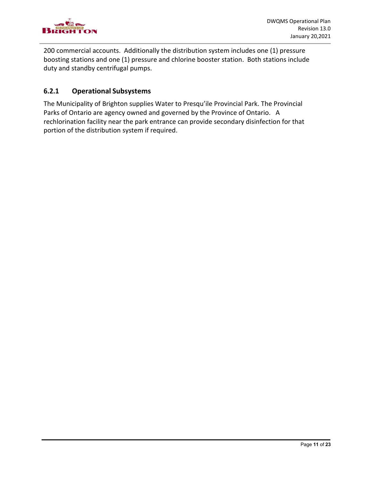

200 commercial accounts. Additionally the distribution system includes one (1) pressure boosting stations and one (1) pressure and chlorine booster station. Both stations include duty and standby centrifugal pumps.

#### <span id="page-11-0"></span>**6.2.1 Operational Subsystems**

The Municipality of Brighton supplies Water to Presqu'ile Provincial Park. The Provincial Parks of Ontario are agency owned and governed by the Province of Ontario. A rechlorination facility near the park entrance can provide secondary disinfection for that portion of the distribution system if required.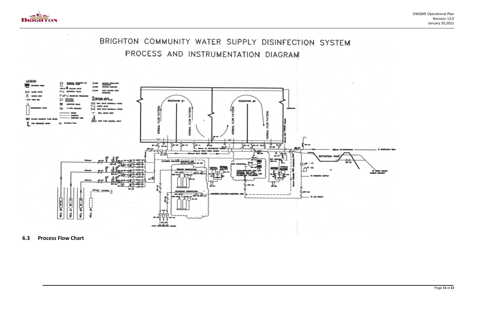

BRIGHTON COMMUNITY WATER SUPPLY DISINFECTION SYSTEM PROCESS AND INSTRUMENTATION DIAGRAM



<span id="page-12-0"></span>**6.3 Process Flow Chart**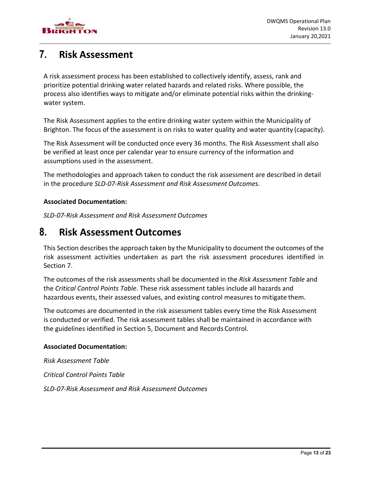

### <span id="page-13-0"></span>**7. Risk Assessment**

A risk assessment process has been established to collectively identify, assess, rank and prioritize potential drinking water related hazards and related risks. Where possible, the process also identifies ways to mitigate and/or eliminate potential risks within the drinkingwater system.

The Risk Assessment applies to the entire drinking water system within the Municipality of Brighton. The focus of the assessment is on risks to water quality and water quantity (capacity).

The Risk Assessment will be conducted once every 36 months. The Risk Assessment shall also be verified at least once per calendar year to ensure currency of the information and assumptions used in the assessment.

The methodologies and approach taken to conduct the risk assessment are described in detail in the procedure *SLD-07-Risk Assessment and Risk Assessment Outcomes*.

#### **Associated Documentation:**

*SLD-07-Risk Assessment and Risk Assessment Outcomes*

### <span id="page-13-1"></span>**8. Risk Assessment Outcomes**

This Section describes the approach taken by the Municipality to document the outcomes of the risk assessment activities undertaken as part the risk assessment procedures identified in Section 7.

The outcomes of the risk assessments shall be documented in the *Risk Assessment Table* and the *Critical Control Points Table*. These risk assessment tables include all hazards and hazardous events, their assessed values, and existing control measures to mitigate them.

The outcomes are documented in the risk assessment tables every time the Risk Assessment is conducted or verified. The risk assessment tables shall be maintained in accordance with the guidelines identified in Section 5, Document and Records Control.

#### **Associated Documentation:**

*Risk Assessment Table* 

*Critical Control Points Table*

*SLD-07-Risk Assessment and Risk Assessment Outcomes*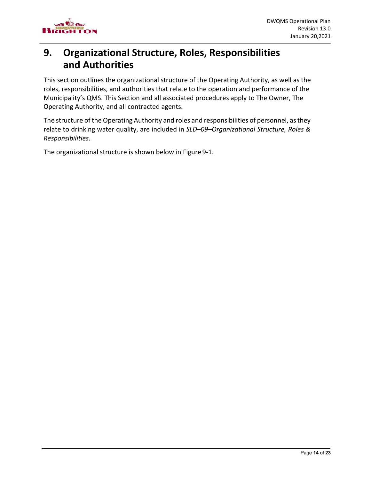

### <span id="page-14-0"></span>**9. Organizational Structure, Roles, Responsibilities and Authorities**

This section outlines the organizational structure of the Operating Authority, as well as the roles, responsibilities, and authorities that relate to the operation and performance of the Municipality's QMS. This Section and all associated procedures apply to The Owner, The Operating Authority, and all contracted agents.

The structure of the Operating Authority and roles and responsibilities of personnel, as they relate to drinking water quality, are included in *SLD–09–Organizational Structure, Roles & Responsibilities*.

The organizational structure is shown below in Figure 9-1.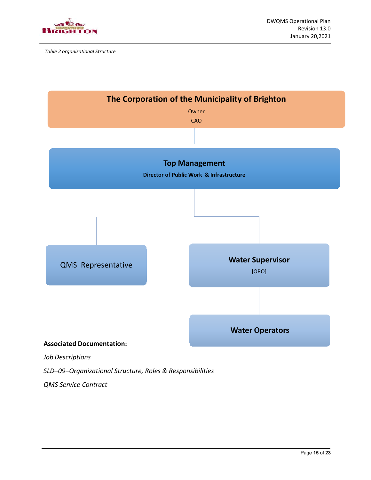

*Table 2 organizational Structure*



*QMS Service Contract*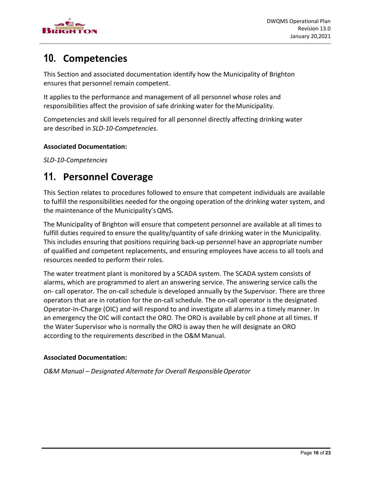

## <span id="page-16-0"></span>**10. Competencies**

This Section and associated documentation identify how the Municipality of Brighton ensures that personnel remain competent.

It applies to the performance and management of all personnel whose roles and responsibilities affect the provision of safe drinking water for theMunicipality.

Competencies and skill levels required for all personnel directly affecting drinking water are described in *SLD-10-Competencies*.

#### **Associated Documentation:**

*SLD-10-Competencies*

### <span id="page-16-1"></span>**11. Personnel Coverage**

This Section relates to procedures followed to ensure that competent individuals are available to fulfill the responsibilities needed for the ongoing operation of the drinking water system, and the maintenance of the Municipality'sQMS.

The Municipality of Brighton will ensure that competent personnel are available at all times to fulfill duties required to ensure the quality/quantity of safe drinking water in the Municipality. This includes ensuring that positions requiring back-up personnel have an appropriate number of qualified and competent replacements, and ensuring employees have access to all tools and resources needed to perform their roles.

The water treatment plant is monitored by a SCADA system. The SCADA system consists of alarms, which are programmed to alert an answering service. The answering service calls the on- call operator. The on-call schedule is developed annually by the Supervisor. There are three operators that are in rotation for the on-call schedule. The on-call operator is the designated Operator-In-Charge (OIC) and will respond to and investigate all alarms in a timely manner. In an emergency the OIC will contact the ORO. The ORO is available by cell phone at all times. If the Water Supervisor who is normally the ORO is away then he will designate an ORO according to the requirements described in the O&M Manual.

#### **Associated Documentation:**

*O&M Manual – Designated Alternate for Overall ResponsibleOperator*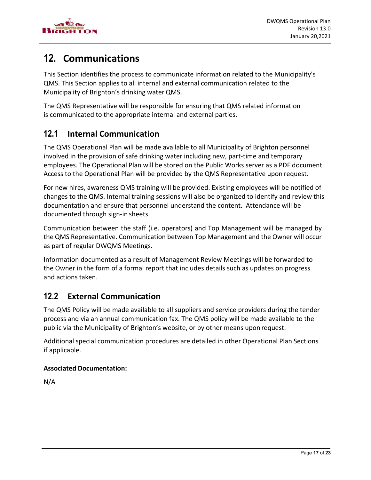

## <span id="page-17-0"></span>**12. Communications**

This Section identifies the process to communicate information related to the Municipality's QMS. This Section applies to all internal and external communication related to the Municipality of Brighton's drinking water QMS.

The QMS Representative will be responsible for ensuring that QMS related information is communicated to the appropriate internal and external parties.

### <span id="page-17-1"></span>**12.1 Internal Communication**

The QMS Operational Plan will be made available to all Municipality of Brighton personnel involved in the provision of safe drinking water including new, part-time and temporary employees. The Operational Plan will be stored on the Public Works server as a PDF document. Access to the Operational Plan will be provided by the QMS Representative upon request.

For new hires, awareness QMS training will be provided. Existing employees will be notified of changes to the QMS. Internal training sessions will also be organized to identify and review this documentation and ensure that personnel understand the content. Attendance will be documented through sign-in sheets.

Communication between the staff (i.e. operators) and Top Management will be managed by the QMS Representative. Communication between Top Management and the Owner will occur as part of regular DWQMS Meetings.

Information documented as a result of Management Review Meetings will be forwarded to the Owner in the form of a formal report that includes details such as updates on progress and actions taken.

### <span id="page-17-2"></span>**12.2 External Communication**

The QMS Policy will be made available to all suppliers and service providers during the tender process and via an annual communication fax. The QMS policy will be made available to the public via the Municipality of Brighton's website, or by other means upon request.

Additional special communication procedures are detailed in other Operational Plan Sections if applicable.

#### **Associated Documentation:**

N/A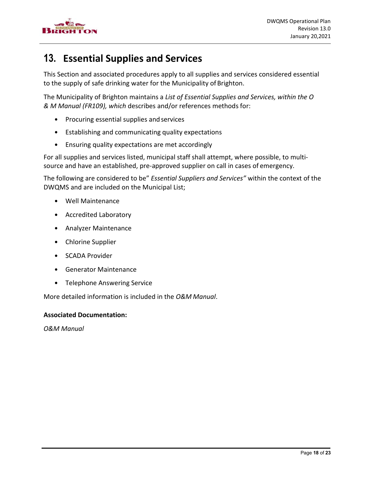

## <span id="page-18-0"></span>**13. Essential Supplies and Services**

This Section and associated procedures apply to all supplies and services considered essential to the supply of safe drinking water for the Municipality of Brighton.

The Municipality of Brighton maintains a *List of Essential Supplies and Services, within the O & M Manual (FR109), which* describes and/or references methods for:

- Procuring essential supplies and services
- Establishing and communicating quality expectations
- Ensuring quality expectations are met accordingly

For all supplies and services listed, municipal staff shall attempt, where possible, to multisource and have an established, pre-approved supplier on call in cases of emergency.

The following are considered to be" *Essential Suppliers and Services"* within the context of the DWQMS and are included on the Municipal List;

- Well Maintenance
- Accredited Laboratory
- Analyzer Maintenance
- Chlorine Supplier
- SCADA Provider
- Generator Maintenance
- Telephone Answering Service

More detailed information is included in the *O&M Manual*.

#### **Associated Documentation:**

*O&M Manual*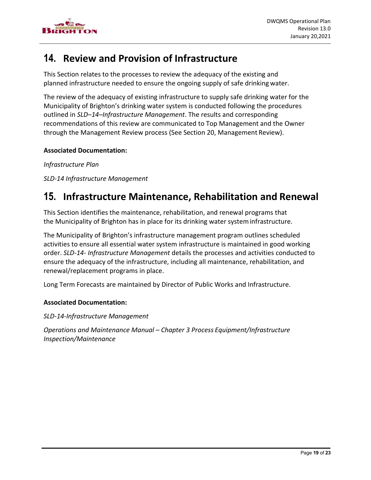

## <span id="page-19-0"></span>**14. Review and Provision of Infrastructure**

This Section relates to the processes to review the adequacy of the existing and planned infrastructure needed to ensure the ongoing supply of safe drinking water.

The review of the adequacy of existing infrastructure to supply safe drinking water for the Municipality of Brighton's drinking water system is conducted following the procedures outlined in *SLD–14–Infrastructure Management*. The results and corresponding recommendations of this review are communicated to Top Management and the Owner through the Management Review process (See Section 20, Management Review).

#### **Associated Documentation:**

*Infrastructure Plan*

*SLD-14 Infrastructure Management*

### <span id="page-19-1"></span>**15. Infrastructure Maintenance, Rehabilitation and Renewal**

This Section identifies the maintenance, rehabilitation, and renewal programs that the Municipality of Brighton has in place for its drinking water systeminfrastructure.

The Municipality of Brighton's infrastructure management program outlines scheduled activities to ensure all essential water system infrastructure is maintained in good working order. *SLD-14- Infrastructure Management* details the processes and activities conducted to ensure the adequacy of the infrastructure, including all maintenance, rehabilitation, and renewal/replacement programs in place.

Long Term Forecasts are maintained by Director of Public Works and Infrastructure.

#### **Associated Documentation:**

*SLD-14-Infrastructure Management*

*Operations and Maintenance Manual – Chapter 3 Process Equipment/Infrastructure Inspection/Maintenance*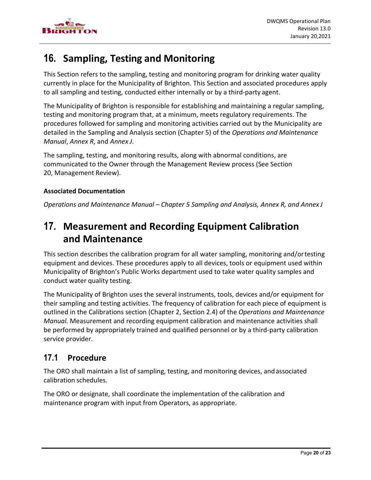

## <span id="page-20-0"></span>**16. Sampling, Testing and Monitoring**

This Section refers to the sampling, testing and monitoring program for drinking water quality currently in place for the Municipality of Brighton. This Section and associated procedures apply to all sampling and testing, conducted either internally or by a third-party agent.

The Municipality of Brighton is responsible for establishing and maintaining a regular sampling, testing and monitoring program that, at a minimum, meets regulatory requirements. The procedures followed for sampling and monitoring activities carried out by the Municipality are detailed in the Sampling and Analysis section (Chapter 5) of the *Operations and Maintenance Manual*, *Annex R*, and *Annex J*.

The sampling, testing, and monitoring results, along with abnormal conditions, are communicated to the Owner through the Management Review process (See Section 20, Management Review).

#### **Associated Documentation**

*Operations and Maintenance Manual – Chapter 5 Sampling and Analysis, Annex R, and Annex J*

### <span id="page-20-1"></span>**17. Measurement and Recording Equipment Calibration and Maintenance**

This section describes the calibration program for all water sampling, monitoring and/ortesting equipment and devices. These procedures apply to all devices, tools or equipment used within Municipality of Brighton's Public Works department used to take water quality samples and conduct water quality testing.

The Municipality of Brighton uses the several instruments, tools, devices and/or equipment for their sampling and testing activities. The frequency of calibration for each piece of equipment is outlined in the Calibrations section (Chapter 2, Section 2.4) of the *Operations and Maintenance Manual.* Measurement and recording equipment calibration and maintenance activities shall be performed by appropriately trained and qualified personnel or by a third-party calibration service provider.

### <span id="page-20-2"></span>**17.1 Procedure**

The ORO shall maintain a list of sampling, testing, and monitoring devices, andassociated calibration schedules.

The ORO or designate, shall coordinate the implementation of the calibration and maintenance program with input from Operators, as appropriate.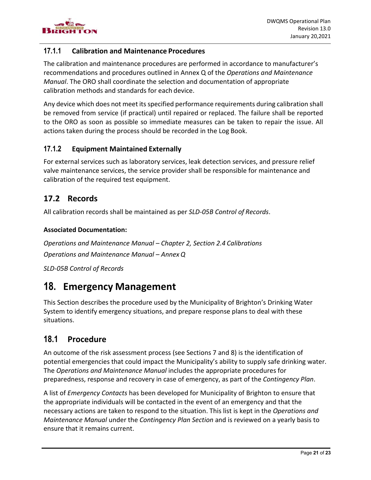

#### <span id="page-21-0"></span>**17.1.1 Calibration and Maintenance Procedures**

The calibration and maintenance procedures are performed in accordance to manufacturer's recommendations and procedures outlined in Annex Q of the *Operations and Maintenance Manual*. The ORO shall coordinate the selection and documentation of appropriate calibration methods and standards for each device.

Any device which does not meet its specified performance requirements during calibration shall be removed from service (if practical) until repaired or replaced. The failure shall be reported to the ORO as soon as possible so immediate measures can be taken to repair the issue. All actions taken during the process should be recorded in the Log Book.

#### <span id="page-21-1"></span>**17.1.2 Equipment Maintained Externally**

For external services such as laboratory services, leak detection services, and pressure relief valve maintenance services, the service provider shall be responsible for maintenance and calibration of the required test equipment.

#### <span id="page-21-2"></span>**17.2 Records**

All calibration records shall be maintained as per *SLD-05B Control of Records*.

#### **Associated Documentation:**

*Operations and Maintenance Manual – Chapter 2, Section 2.4 Calibrations Operations and Maintenance Manual – Annex Q* 

*SLD-05B Control of Records*

### <span id="page-21-3"></span>**18. Emergency Management**

This Section describes the procedure used by the Municipality of Brighton's Drinking Water System to identify emergency situations, and prepare response plans to deal with these situations.

### <span id="page-21-4"></span>**18.1 Procedure**

An outcome of the risk assessment process (see Sections 7 and 8) is the identification of potential emergencies that could impact the Municipality's ability to supply safe drinking water. The *Operations and Maintenance Manual* includes the appropriate procedures for preparedness, response and recovery in case of emergency, as part of the *Contingency Plan*.

A list of *Emergency Contacts* has been developed for Municipality of Brighton to ensure that the appropriate individuals will be contacted in the event of an emergency and that the necessary actions are taken to respond to the situation. This list is kept in the *Operations and Maintenance Manual* under the *Contingency Plan Section* and is reviewed on a yearly basis to ensure that it remains current.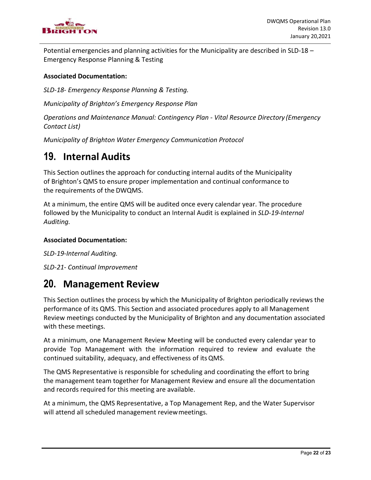

Potential emergencies and planning activities for the Municipality are described in SLD-18 – Emergency Response Planning & Testing

#### **Associated Documentation:**

*SLD-18- Emergency Response Planning & Testing.*

*Municipality of Brighton's Emergency Response Plan*

*Operations and Maintenance Manual: Contingency Plan - Vital Resource Directory (Emergency Contact List)*

*Municipality of Brighton Water Emergency Communication Protocol*

### <span id="page-22-0"></span>**19. Internal Audits**

This Section outlines the approach for conducting internal audits of the Municipality of Brighton's QMS to ensure proper implementation and continual conformance to the requirements of the DWQMS.

At a minimum, the entire QMS will be audited once every calendar year. The procedure followed by the Municipality to conduct an Internal Audit is explained in *SLD-19-Internal Auditing.*

#### **Associated Documentation:**

*SLD-19-Internal Auditing.*

*SLD-21- Continual Improvement*

### <span id="page-22-1"></span>**20. Management Review**

This Section outlines the process by which the Municipality of Brighton periodically reviews the performance of its QMS. This Section and associated procedures apply to all Management Review meetings conducted by the Municipality of Brighton and any documentation associated with these meetings.

At a minimum, one Management Review Meeting will be conducted every calendar year to provide Top Management with the information required to review and evaluate the continued suitability, adequacy, and effectiveness of itsQMS.

The QMS Representative is responsible for scheduling and coordinating the effort to bring the management team together for Management Review and ensure all the documentation and records required for this meeting are available.

At a minimum, the QMS Representative, a Top Management Rep, and the Water Supervisor will attend all scheduled management reviewmeetings.